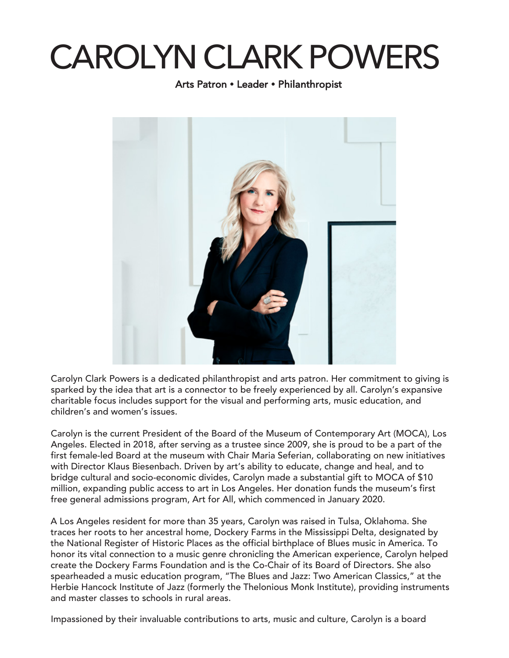## CAROLYN CLARK POWERS

Arts Patron • Leader • Philanthropist



Carolyn Clark Powers is a dedicated philanthropist and arts patron. Her commitment to giving is sparked by the idea that art is a connector to be freely experienced by all. Carolyn's expansive charitable focus includes support for the visual and performing arts, music education, and children's and women's issues.

Carolyn is the current President of the Board of the Museum of Contemporary Art (MOCA), Los Angeles. Elected in 2018, after serving as a trustee since 2009, she is proud to be a part of the first female-led Board at the museum with Chair Maria Seferian, collaborating on new initiatives with Director Klaus Biesenbach. Driven by art's ability to educate, change and heal, and to bridge cultural and socio-economic divides, Carolyn made a substantial gift to MOCA of \$10 million, expanding public access to art in Los Angeles. Her donation funds the museum's first free general admissions program, Art for All, which commenced in January 2020.

A Los Angeles resident for more than 35 years, Carolyn was raised in Tulsa, Oklahoma. She traces her roots to her ancestral home, Dockery Farms in the Mississippi Delta, designated by the National Register of Historic Places as the official birthplace of Blues music in America. To honor its vital connection to a music genre chronicling the American experience, Carolyn helped create the [Dockery Farms Foundation](http://http://www.dockeryfarms.org/) and is the Co-Chair of its Board of Directors. She also spearheaded a music education program, "The Blues and Jazz: Two American Classics," at the [Herbie Hancock Institute o](http://https://hancockinstitute.org/)f Jazz (formerly the Thelonious Monk Institute), providing instr[uments](https://www.grammymuseum.org/programs/grants-program)  and master classes to schools in rural areas.

[Impassioned by thei](https://www.grammymuseum.org/programs/grants-program)r invalua[ble contributions to arts, music and](http://www.kennedy-center.org/) culture, Carolyn is a board